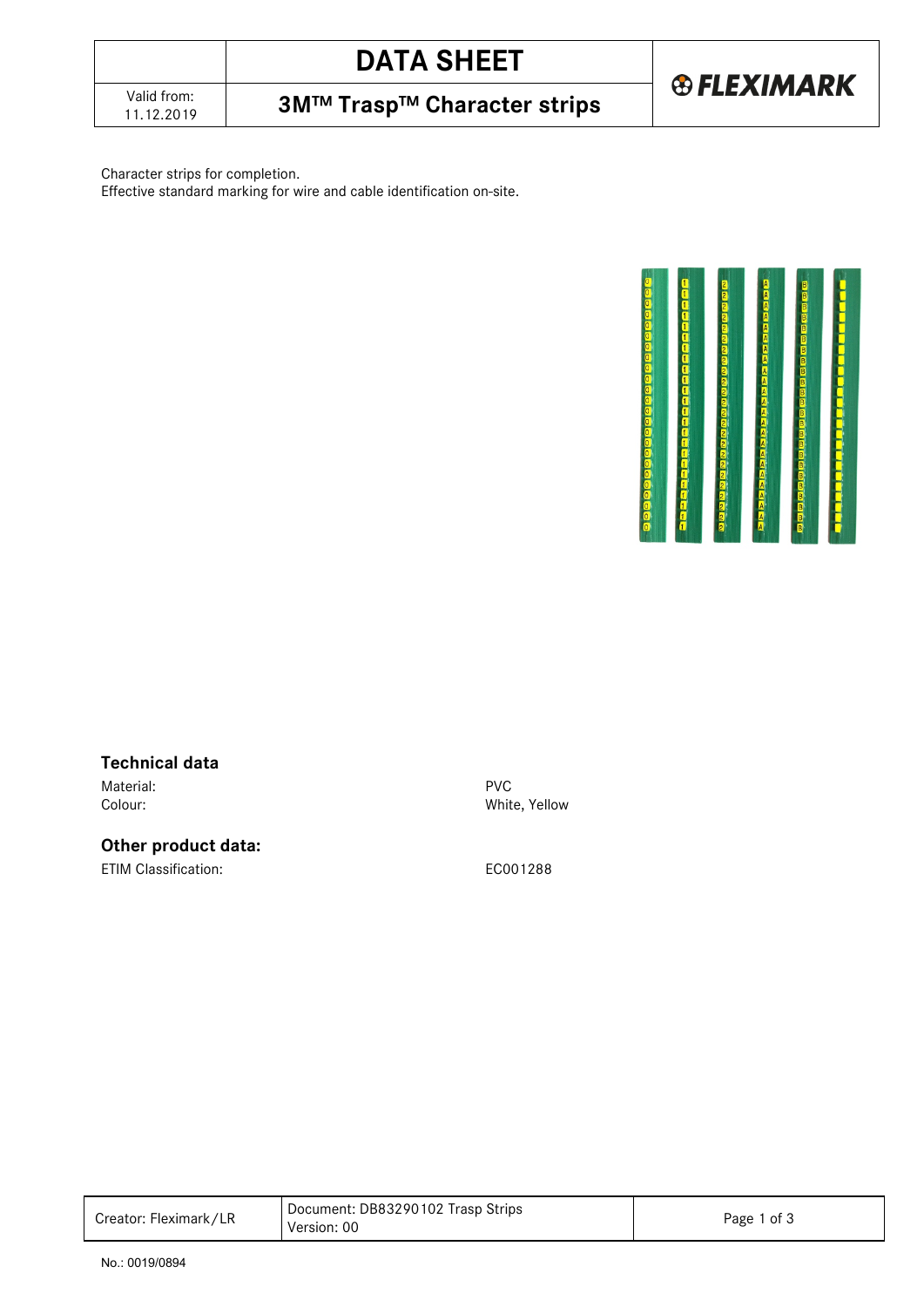# **DATA SHEET**

**3M™ Trasp™ Character strips** 

**® FLEXIMARK** 

#### Character strips for completion.

Effective standard marking for wire and cable identification on-site.



#### **Technical data**

Material: PVC

#### **Other product data:**

ETIM Classification: EC001288

Colour: White, Yellow

| Document: DB83290102 Trasp Strips<br>Creator: Fleximark/LR<br>Page 1 of 3<br>Version: 00 |  |  |
|------------------------------------------------------------------------------------------|--|--|
|------------------------------------------------------------------------------------------|--|--|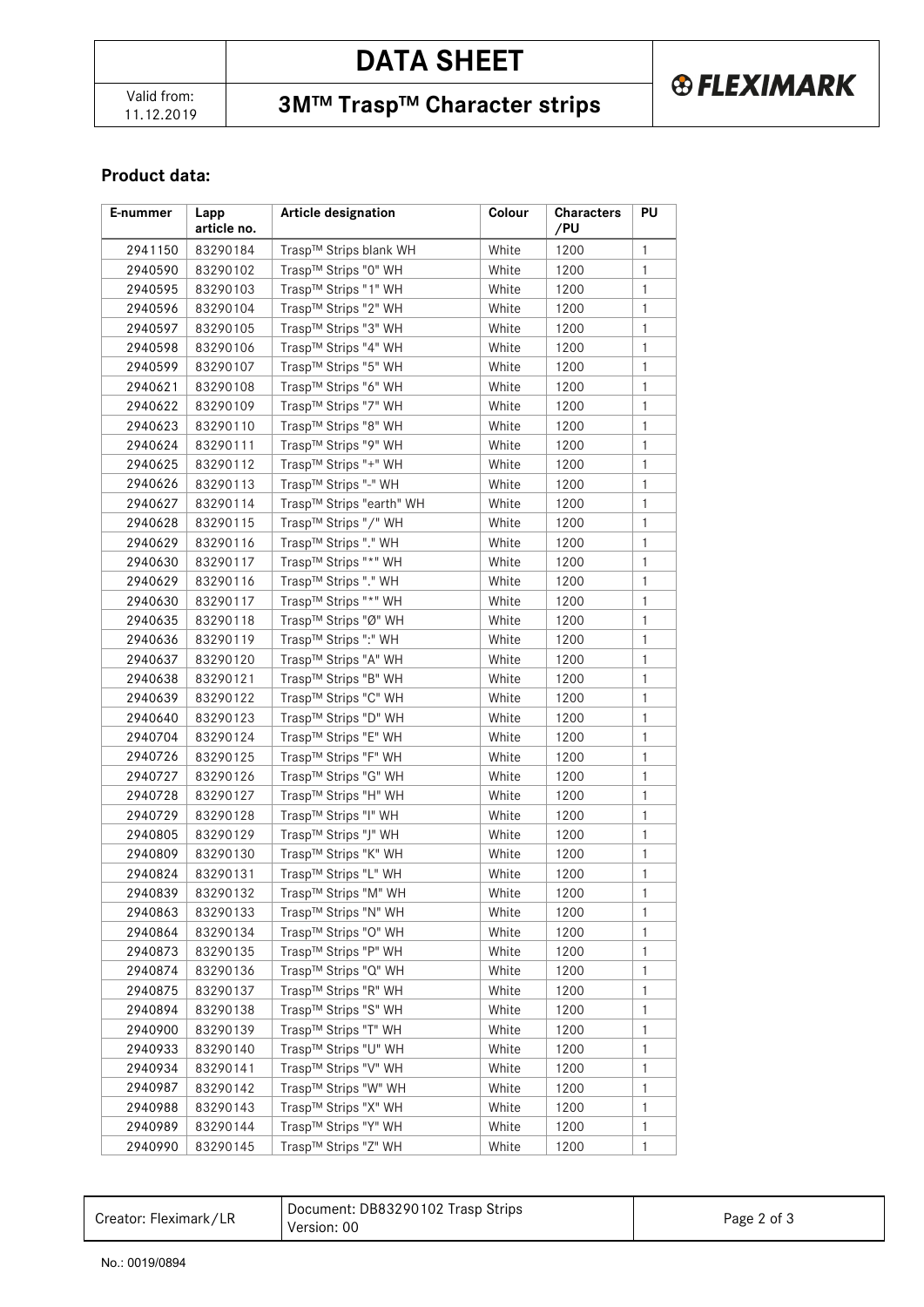**3M™ Trasp™ Character strips** 

### **Product data:**

| E-nummer | Lapp<br>article no. | <b>Article designation</b> | Colour | <b>Characters</b><br>/PU | PU           |
|----------|---------------------|----------------------------|--------|--------------------------|--------------|
| 2941150  | 83290184            | Trasp™ Strips blank WH     | White  | 1200                     | $\mathbf{1}$ |
| 2940590  | 83290102            | Trasp™ Strips "0" WH       | White  | 1200                     | $\mathbf{1}$ |
| 2940595  | 83290103            | Trasp™ Strips "1" WH       | White  | 1200                     | $\mathbf{1}$ |
| 2940596  | 83290104            | Trasp™ Strips "2" WH       | White  | 1200                     | $\mathbf{1}$ |
| 2940597  | 83290105            | Trasp™ Strips "3" WH       | White  | 1200                     | $\mathbf{1}$ |
| 2940598  | 83290106            | Trasp™ Strips "4" WH       | White  | 1200                     | $\mathbf{1}$ |
| 2940599  | 83290107            | Trasp™ Strips "5" WH       | White  | 1200                     | $\mathbf{1}$ |
| 2940621  | 83290108            | Trasp™ Strips "6" WH       | White  | 1200                     | $\mathbf{1}$ |
| 2940622  | 83290109            | Trasp™ Strips "7" WH       | White  | 1200                     | $\mathbf{1}$ |
| 2940623  | 83290110            | Trasp™ Strips "8" WH       | White  | 1200                     | $\mathbf{1}$ |
| 2940624  | 83290111            | Trasp™ Strips "9" WH       | White  | 1200                     | $\mathbf{1}$ |
| 2940625  | 83290112            | Trasp™ Strips "+" WH       | White  | 1200                     | $\mathbf{1}$ |
| 2940626  | 83290113            | Trasp™ Strips "-" WH       | White  | 1200                     | $\mathbf{1}$ |
| 2940627  | 83290114            | Trasp™ Strips "earth" WH   | White  | 1200                     | $\mathbf{1}$ |
| 2940628  | 83290115            | Trasp™ Strips "/" WH       | White  | 1200                     | $\mathbf{1}$ |
| 2940629  | 83290116            | Trasp™ Strips "." WH       | White  | 1200                     | $\mathbf{1}$ |
| 2940630  | 83290117            | Trasp™ Strips "*" WH       | White  | 1200                     | $\mathbf{1}$ |
| 2940629  | 83290116            | Trasp™ Strips "." WH       | White  | 1200                     | $\mathbf{1}$ |
| 2940630  | 83290117            | Trasp™ Strips "*" WH       | White  | 1200                     | $\mathbf{1}$ |
| 2940635  | 83290118            | Trasp™ Strips "Ø" WH       | White  | 1200                     | 1            |
| 2940636  | 83290119            | Trasp™ Strips ":" WH       | White  | 1200                     | $\mathbf{1}$ |
| 2940637  | 83290120            | Trasp™ Strips "A" WH       | White  | 1200                     | $\mathbf{1}$ |
| 2940638  | 83290121            | Trasp™ Strips "B" WH       | White  | 1200                     | 1            |
| 2940639  | 83290122            | Trasp™ Strips "C" WH       | White  | 1200                     | $\mathbf{1}$ |
| 2940640  | 83290123            | Trasp™ Strips "D" WH       | White  | 1200                     | $\mathbf{1}$ |
| 2940704  | 83290124            | Trasp™ Strips "E" WH       | White  | 1200                     | $\mathbf{1}$ |
| 2940726  | 83290125            | Trasp™ Strips "F" WH       | White  | 1200                     | $\mathbf{1}$ |
| 2940727  | 83290126            | Trasp™ Strips "G" WH       | White  | 1200                     | $\mathbf{1}$ |
| 2940728  | 83290127            | Trasp™ Strips "H" WH       | White  | 1200                     | 1            |
| 2940729  | 83290128            | Trasp™ Strips "I" WH       | White  | 1200                     | $\mathbf{1}$ |
| 2940805  | 83290129            | Trasp™ Strips "J" WH       | White  | 1200                     | 1            |
| 2940809  | 83290130            | Trasp™ Strips "K" WH       | White  | 1200                     | $\mathbf{1}$ |
| 2940824  | 83290131            | Trasp™ Strips "L" WH       | White  | 1200                     | $\mathbf{1}$ |
| 2940839  | 83290132            | Trasp™ Strips "M" WH       | White  | 1200                     | $\mathbf{1}$ |
| 2940863  | 83290133            | Trasp™ Strips "N" WH       | White  | 1200                     | 1            |
| 2940864  | 83290134            | Trasp™ Strips "O" WH       | White  | 1200                     | 1            |
| 2940873  | 83290135            | Trasp™ Strips "P" WH       | White  | 1200                     | $\mathbf{1}$ |
| 2940874  | 83290136            | Trasp™ Strips "Q" WH       | White  | 1200                     | 1            |
| 2940875  | 83290137            | Trasp™ Strips "R" WH       | White  | 1200                     | 1            |
| 2940894  | 83290138            | Trasp™ Strips "S" WH       | White  | 1200                     | 1            |
| 2940900  | 83290139            | Trasp™ Strips "T" WH       | White  | 1200                     | 1            |
| 2940933  | 83290140            | Trasp™ Strips "U" WH       | White  | 1200                     | 1            |
| 2940934  | 83290141            | Trasp™ Strips "V" WH       | White  | 1200                     | 1            |
| 2940987  | 83290142            | Trasp™ Strips "W" WH       | White  | 1200                     | 1            |
| 2940988  | 83290143            | Trasp™ Strips "X" WH       | White  | 1200                     | $\mathbf{1}$ |
| 2940989  | 83290144            | Trasp™ Strips "Y" WH       | White  | 1200                     | $\mathbf{1}$ |
| 2940990  | 83290145            | Trasp™ Strips "Z" WH       | White  | 1200                     | $\mathbf{1}$ |

| Creator: Fleximark/LR | Document: DB83290102 Trasp Strips<br>Version: 00 | Page 2 of 3 |
|-----------------------|--------------------------------------------------|-------------|
|-----------------------|--------------------------------------------------|-------------|